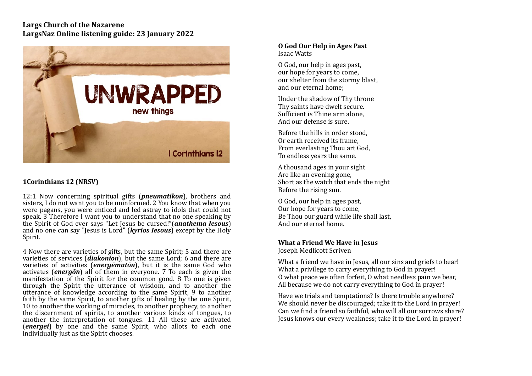## **Largs Church of the Nazarene** LargsNaz Online listening guide: 23 January 2022



# **1Corinthians 12 (NRSV)**

12:1 Now concerning spiritual gifts (*pneumatikon*), brothers and sisters, I do not want you to be uninformed. 2 You know that when you were pagans, you were enticed and led astray to idols that could not speak.  $3$  Therefore I want you to understand that no one speaking by the Spirit of God ever says "Let Jesus be cursed!"(*anathema Iesous*) and no one can say "lesus is Lord" (*kyrios lesous*) except by the Holy Spirit. 

4 Now there are varieties of gifts, but the same Spirit; 5 and there are varieties of services (*diakonion*), but the same Lord; 6 and there are varieties of activities (*energēmatōn*), but it is the same God who activates (*energon*) all of them in everyone. 7 To each is given the manifestation of the Spirit for the common good. 8 To one is given through the Spirit the utterance of wisdom, and to another the utterance of knowledge according to the same Spirit, 9 to another faith by the same Spirit, to another gifts of healing by the one Spirit, 10 to another the working of miracles, to another prophecy, to another the discernment of spirits, to another various kinds of tongues, to another the interpretation of tongues. 11 All these are activated *(energei*) by one and the same Spirit, who allots to each one individually just as the Spirit chooses.

#### **O God Our Help in Ages Past**  Isaac Watts

O God, our help in ages past, our hope for years to come, our shelter from the stormy blast. and our eternal home:

Under the shadow of Thy throne Thy saints have dwelt secure. Sufficient is Thine arm alone. And our defense is sure.

Before the hills in order stood. Or earth received its frame. From everlasting Thou art God. To endless vears the same.

A thousand ages in your sight Are like an evening gone, Short as the watch that ends the night Before the rising sun.

O God, our help in ages past. Our hope for years to come, Be Thou our guard while life shall last. And our eternal home.

### **What a Friend We Have in Jesus**

Joseph Medlicott Scriven 

What a friend we have in Jesus, all our sins and griefs to bear! What a privilege to carry everything to God in prayer! O what peace we often forfeit. O what needless pain we bear, All because we do not carry everything to God in prayer!

Have we trials and temptations? Is there trouble anywhere? We should never be discouraged; take it to the Lord in prayer! Can we find a friend so faithful, who will all our sorrows share? Jesus knows our every weakness; take it to the Lord in prayer!